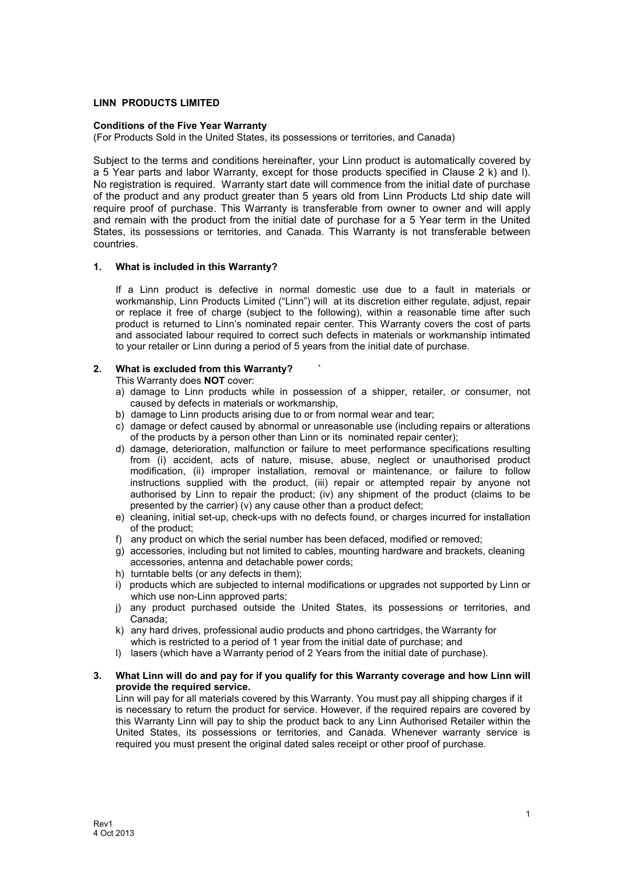# **LINN PRODUCTS LIMITED**

## **Conditions of the Five Year Warranty**

(For Products Sold in the United States, its possessions or territories, and Canada)

Subject to the terms and conditions hereinafter, your Linn product is automatically covered by a 5 Year parts and labor Warranty, except for those products specified in Clause 2 k) and l). No registration is required. Warranty start date will commence from the initial date of purchase of the product and any product greater than 5 years old from Linn Products Ltd ship date will require proof of purchase. This Warranty is transferable from owner to owner and will apply and remain with the product from the initial date of purchase for a 5 Year term in the United States, its possessions or territories, and Canada. This Warranty is not transferable between countries.

## **1. What is included in this Warranty?**

If a Linn product is defective in normal domestic use due to a fault in materials or workmanship, Linn Products Limited ("Linn") will at its discretion either regulate, adjust, repair or replace it free of charge (subject to the following), within a reasonable time after such product is returned to Linn's nominated repair center. This Warranty covers the cost of parts and associated labour required to correct such defects in materials or workmanship intimated to your retailer or Linn during a period of 5 years from the initial date of purchase.

## **2. What is excluded from this Warranty? `**

This Warranty does **NOT** cover:

- a) damage to Linn products while in possession of a shipper, retailer, or consumer, not caused by defects in materials or workmanship,
- b) damage to Linn products arising due to or from normal wear and tear;
- c) damage or defect caused by abnormal or unreasonable use (including repairs or alterations of the products by a person other than Linn or its nominated repair center);
- d) damage, deterioration, malfunction or failure to meet performance specifications resulting from (i) accident, acts of nature, misuse, abuse, neglect or unauthorised product modification, (ii) improper installation, removal or maintenance, or failure to follow instructions supplied with the product, (iii) repair or attempted repair by anyone not authorised by Linn to repair the product; (iv) any shipment of the product (claims to be presented by the carrier) (v) any cause other than a product defect;
- e) cleaning, initial set-up, check-ups with no defects found, or charges incurred for installation of the product;
- f) any product on which the serial number has been defaced, modified or removed;
- g) accessories, including but not limited to cables, mounting hardware and brackets, cleaning accessories, antenna and detachable power cords;
- h) turntable belts (or any defects in them);
- i) products which are subjected to internal modifications or upgrades not supported by Linn or which use non-Linn approved parts;
- j) any product purchased outside the United States, its possessions or territories, and Canada;
- k) any hard drives, professional audio products and phono cartridges, the Warranty for which is restricted to a period of 1 year from the initial date of purchase; and
- l) lasers (which have a Warranty period of 2 Years from the initial date of purchase).

#### **3. What Linn will do and pay for if you qualify for this Warranty coverage and how Linn will provide the required service.**

Linn will pay for all materials covered by this Warranty. You must pay all shipping charges if it is necessary to return the product for service. However, if the required repairs are covered by this Warranty Linn will pay to ship the product back to any Linn Authorised Retailer within the United States, its possessions or territories, and Canada. Whenever warranty service is required you must present the original dated sales receipt or other proof of purchase.